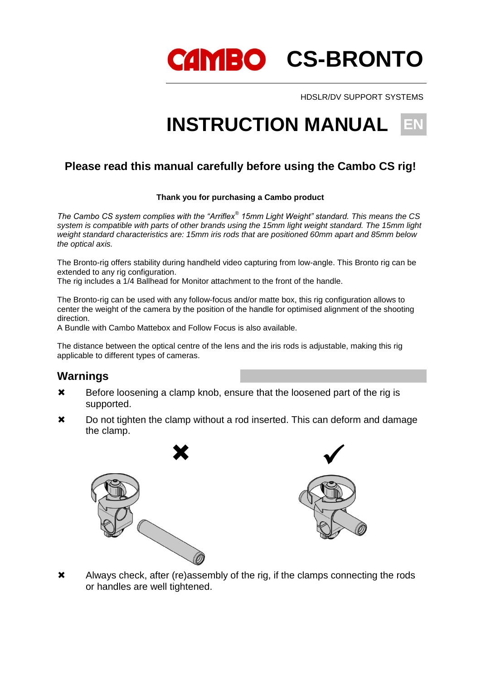CAMBO CS-BRONTO

HDSLR/DV SUPPORT SYSTEMS

# **INSTRUCTION MANUAL**

### **Please read this manual carefully before using the Cambo CS rig!**

#### **Thank you for purchasing a Cambo product**

*The Cambo CS system complies with the "Arriflex® 15mm Light Weight" standard. This means the CS system is compatible with parts of other brands using the 15mm light weight standard. The 15mm light weight standard characteristics are: 15mm iris rods that are positioned 60mm apart and 85mm below the optical axis.*

The Bronto-rig offers stability during handheld video capturing from low-angle. This Bronto rig can be extended to any rig configuration.

The rig includes a 1/4 Ballhead for Monitor attachment to the front of the handle.

The Bronto-rig can be used with any follow-focus and/or matte box, this rig configuration allows to center the weight of the camera by the position of the handle for optimised alignment of the shooting direction.

A Bundle with Cambo Mattebox and Follow Focus is also available.

The distance between the optical centre of the lens and the iris rods is adjustable, making this rig applicable to different types of cameras.

#### **Warnings**

- **\*** Before loosening a clamp knob, ensure that the loosened part of the rig is supported.
- $\boldsymbol{\times}$  Do not tighten the clamp without a rod inserted. This can deform and damage the clamp.





 Always check, after (re)assembly of the rig, if the clamps connecting the rods or handles are well tightened.